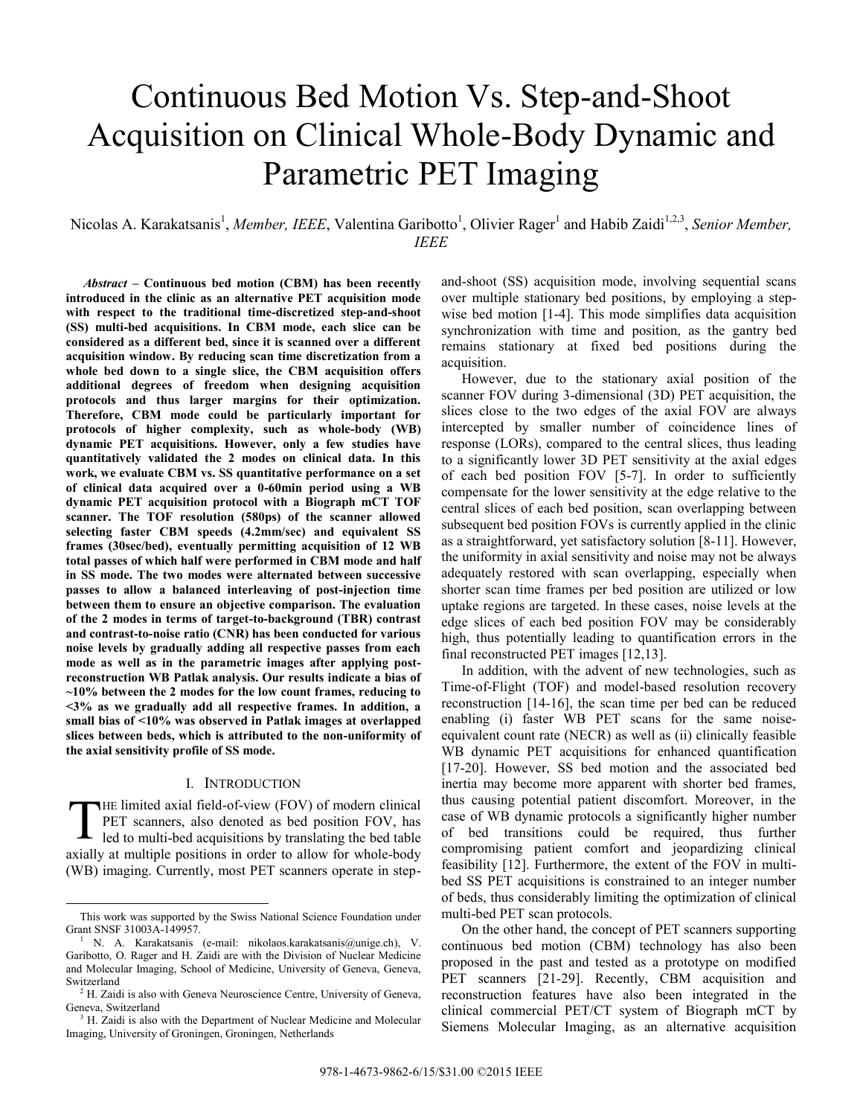# Continuous Bed Motion Vs. Step-and-Shoot Acquisition on Clinical Whole-Body Dynamic and Parametric PET Imaging

Nicolas A. Karakatsanis<sup>1</sup>, *Member, IEEE*, Valentina Garibotto<sup>1</sup>, Olivier Rager<sup>1</sup> and Habib Zaidi<sup>1,2,3</sup>, Senior Member, *IEEE*

*Abstract* **– Continuous bed motion (CBM) has been recently introduced in the clinic as an alternative PET acquisition mode with respect to the traditional time-discretized step-and-shoot (SS) multi-bed acquisitions. In CBM mode, each slice can be considered as a different bed, since it is scanned over a different acquisition window. By reducing scan time discretization from a whole bed down to a single slice, the CBM acquisition offers additional degrees of freedom when designing acquisition protocols and thus larger margins for their optimization. Therefore, CBM mode could be particularly important for protocols of higher complexity, such as whole-body (WB) dynamic PET acquisitions. However, only a few studies have quantitatively validated the 2 modes on clinical data. In this work, we evaluate CBM vs. SS quantitative performance on a set of clinical data acquired over a 0-60min period using a WB dynamic PET acquisition protocol with a Biograph mCT TOF scanner. The TOF resolution (580ps) of the scanner allowed selecting faster CBM speeds (4.2mm/sec) and equivalent SS frames (30sec/bed), eventually permitting acquisition of 12 WB total passes of which half were performed in CBM mode and half in SS mode. The two modes were alternated between successive passes to allow a balanced interleaving of post-injection time between them to ensure an objective comparison. The evaluation of the 2 modes in terms of target-to-background (TBR) contrast and contrast-to-noise ratio (CNR) has been conducted for various noise levels by gradually adding all respective passes from each mode as well as in the parametric images after applying postreconstruction WB Patlak analysis. Our results indicate a bias of ~10% between the 2 modes for the low count frames, reducing to <3% as we gradually add all respective frames. In addition, a small bias of <10% was observed in Patlak images at overlapped slices between beds, which is attributed to the non-uniformity of the axial sensitivity profile of SS mode.** 

### I. INTRODUCTION

HE limited axial field-of-view (FOV) of modern clinical PET scanners, also denoted as bed position FOV, has THE limited axial field-of-view (FOV) of modern clinical<br>PET scanners, also denoted as bed position FOV, has<br>led to multi-bed acquisitions by translating the bed table axially at multiple positions in order to allow for whole-body (WB) imaging. Currently, most PET scanners operate in stepand-shoot (SS) acquisition mode, involving sequential scans over multiple stationary bed positions, by employing a stepwise bed motion [1-4]. This mode simplifies data acquisition synchronization with time and position, as the gantry bed remains stationary at fixed bed positions during the acquisition.

However, due to the stationary axial position of the scanner FOV during 3-dimensional (3D) PET acquisition, the slices close to the two edges of the axial FOV are always intercepted by smaller number of coincidence lines of response (LORs), compared to the central slices, thus leading to a significantly lower 3D PET sensitivity at the axial edges of each bed position FOV [5-7]. In order to sufficiently compensate for the lower sensitivity at the edge relative to the central slices of each bed position, scan overlapping between subsequent bed position FOVs is currently applied in the clinic as a straightforward, yet satisfactory solution [8-11]. However, the uniformity in axial sensitivity and noise may not be always adequately restored with scan overlapping, especially when shorter scan time frames per bed position are utilized or low uptake regions are targeted. In these cases, noise levels at the edge slices of each bed position FOV may be considerably high, thus potentially leading to quantification errors in the final reconstructed PET images [12,13].

In addition, with the advent of new technologies, such as Time-of-Flight (TOF) and model-based resolution recovery reconstruction [14-16], the scan time per bed can be reduced enabling (i) faster WB PET scans for the same noiseequivalent count rate (NECR) as well as (ii) clinically feasible WB dynamic PET acquisitions for enhanced quantification [17-20]. However, SS bed motion and the associated bed inertia may become more apparent with shorter bed frames, thus causing potential patient discomfort. Moreover, in the case of WB dynamic protocols a significantly higher number of bed transitions could be required, thus further compromising patient comfort and jeopardizing clinical feasibility [12]. Furthermore, the extent of the FOV in multibed SS PET acquisitions is constrained to an integer number of beds, thus considerably limiting the optimization of clinical multi-bed PET scan protocols.

On the other hand, the concept of PET scanners supporting continuous bed motion (CBM) technology has also been proposed in the past and tested as a prototype on modified PET scanners [21-29]. Recently, CBM acquisition and reconstruction features have also been integrated in the clinical commercial PET/CT system of Biograph mCT by Siemens Molecular Imaging, as an alternative acquisition

This work was supported by the Swiss National Science Foundation under Grant SNSF 31003A-149957. 1

<sup>&</sup>lt;sup>1</sup> N. A. Karakatsanis (e-mail: nikolaos.karakatsanis@unige.ch), V. Garibotto, O. Rager and H. Zaidi are with the Division of Nuclear Medicine and Molecular Imaging, School of Medicine, University of Geneva, Geneva, Switzerland

<sup>&</sup>lt;sup>2</sup> H. Zaidi is also with Geneva Neuroscience Centre, University of Geneva, Geneva, Switzerland

 $3$  H. Zaidi is also with the Department of Nuclear Medicine and Molecular Imaging, University of Groningen, Groningen, Netherlands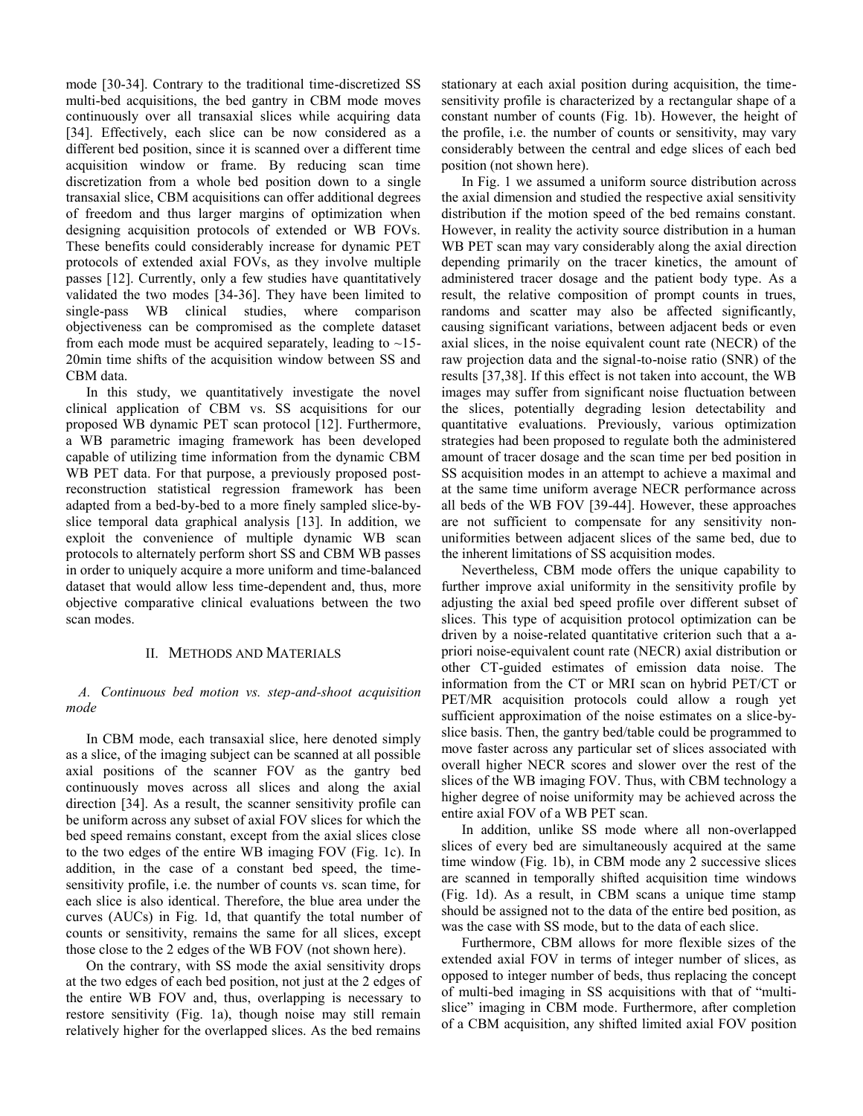mode [30-34]. Contrary to the traditional time-discretized SS multi-bed acquisitions, the bed gantry in CBM mode moves continuously over all transaxial slices while acquiring data [34]. Effectively, each slice can be now considered as a different bed position, since it is scanned over a different time acquisition window or frame. By reducing scan time discretization from a whole bed position down to a single transaxial slice, CBM acquisitions can offer additional degrees of freedom and thus larger margins of optimization when designing acquisition protocols of extended or WB FOVs. These benefits could considerably increase for dynamic PET protocols of extended axial FOVs, as they involve multiple passes [12]. Currently, only a few studies have quantitatively validated the two modes [34-36]. They have been limited to single-pass WB clinical studies, where comparison objectiveness can be compromised as the complete dataset from each mode must be acquired separately, leading to  $\sim$ 15-20min time shifts of the acquisition window between SS and CBM data.

In this study, we quantitatively investigate the novel clinical application of CBM vs. SS acquisitions for our proposed WB dynamic PET scan protocol [12]. Furthermore, a WB parametric imaging framework has been developed capable of utilizing time information from the dynamic CBM WB PET data. For that purpose, a previously proposed postreconstruction statistical regression framework has been adapted from a bed-by-bed to a more finely sampled slice-byslice temporal data graphical analysis [13]. In addition, we exploit the convenience of multiple dynamic WB scan protocols to alternately perform short SS and CBM WB passes in order to uniquely acquire a more uniform and time-balanced dataset that would allow less time-dependent and, thus, more objective comparative clinical evaluations between the two scan modes.

## II. METHODS AND MATERIALS

## *A. Continuous bed motion vs. step-and-shoot acquisition mode*

In CBM mode, each transaxial slice, here denoted simply as a slice, of the imaging subject can be scanned at all possible axial positions of the scanner FOV as the gantry bed continuously moves across all slices and along the axial direction [34]. As a result, the scanner sensitivity profile can be uniform across any subset of axial FOV slices for which the bed speed remains constant, except from the axial slices close to the two edges of the entire WB imaging FOV (Fig. 1c). In addition, in the case of a constant bed speed, the timesensitivity profile, i.e. the number of counts vs. scan time, for each slice is also identical. Therefore, the blue area under the curves (AUCs) in Fig. 1d, that quantify the total number of counts or sensitivity, remains the same for all slices, except those close to the 2 edges of the WB FOV (not shown here).

On the contrary, with SS mode the axial sensitivity drops at the two edges of each bed position, not just at the 2 edges of the entire WB FOV and, thus, overlapping is necessary to restore sensitivity (Fig. 1a), though noise may still remain relatively higher for the overlapped slices. As the bed remains

stationary at each axial position during acquisition, the timesensitivity profile is characterized by a rectangular shape of a constant number of counts (Fig. 1b). However, the height of the profile, i.e. the number of counts or sensitivity, may vary considerably between the central and edge slices of each bed position (not shown here).

In Fig. 1 we assumed a uniform source distribution across the axial dimension and studied the respective axial sensitivity distribution if the motion speed of the bed remains constant. However, in reality the activity source distribution in a human WB PET scan may vary considerably along the axial direction depending primarily on the tracer kinetics, the amount of administered tracer dosage and the patient body type. As a result, the relative composition of prompt counts in trues, randoms and scatter may also be affected significantly, causing significant variations, between adjacent beds or even axial slices, in the noise equivalent count rate (NECR) of the raw projection data and the signal-to-noise ratio (SNR) of the results [37,38]. If this effect is not taken into account, the WB images may suffer from significant noise fluctuation between the slices, potentially degrading lesion detectability and quantitative evaluations. Previously, various optimization strategies had been proposed to regulate both the administered amount of tracer dosage and the scan time per bed position in SS acquisition modes in an attempt to achieve a maximal and at the same time uniform average NECR performance across all beds of the WB FOV [39-44]. However, these approaches are not sufficient to compensate for any sensitivity nonuniformities between adjacent slices of the same bed, due to the inherent limitations of SS acquisition modes.

Nevertheless, CBM mode offers the unique capability to further improve axial uniformity in the sensitivity profile by adjusting the axial bed speed profile over different subset of slices. This type of acquisition protocol optimization can be driven by a noise-related quantitative criterion such that a apriori noise-equivalent count rate (NECR) axial distribution or other CT-guided estimates of emission data noise. The information from the CT or MRI scan on hybrid PET/CT or PET/MR acquisition protocols could allow a rough yet sufficient approximation of the noise estimates on a slice-byslice basis. Then, the gantry bed/table could be programmed to move faster across any particular set of slices associated with overall higher NECR scores and slower over the rest of the slices of the WB imaging FOV. Thus, with CBM technology a higher degree of noise uniformity may be achieved across the entire axial FOV of a WB PET scan.

In addition, unlike SS mode where all non-overlapped slices of every bed are simultaneously acquired at the same time window (Fig. 1b), in CBM mode any 2 successive slices are scanned in temporally shifted acquisition time windows (Fig. 1d). As a result, in CBM scans a unique time stamp should be assigned not to the data of the entire bed position, as was the case with SS mode, but to the data of each slice.

Furthermore, CBM allows for more flexible sizes of the extended axial FOV in terms of integer number of slices, as opposed to integer number of beds, thus replacing the concept of multi-bed imaging in SS acquisitions with that of "multislice" imaging in CBM mode. Furthermore, after completion of a CBM acquisition, any shifted limited axial FOV position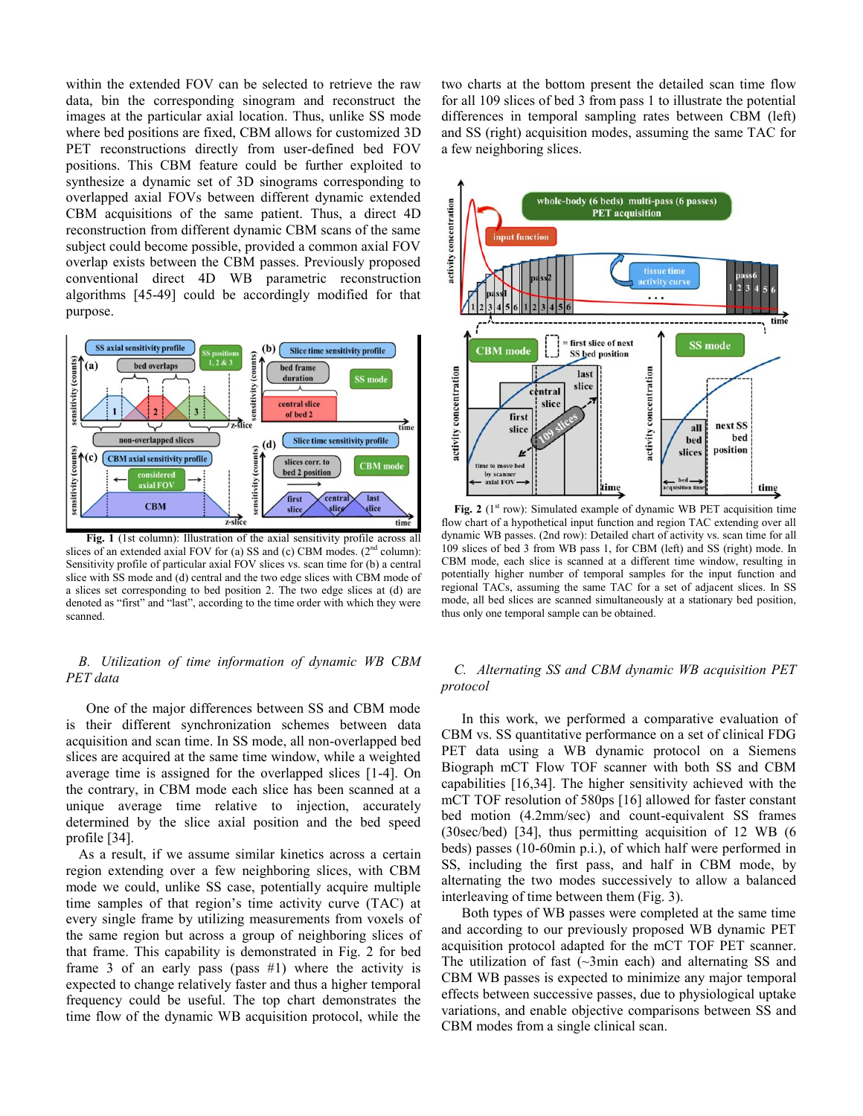within the extended FOV can be selected to retrieve the raw data, bin the corresponding sinogram and reconstruct the images at the particular axial location. Thus, unlike SS mode where bed positions are fixed, CBM allows for customized 3D PET reconstructions directly from user-defined bed FOV positions. This CBM feature could be further exploited to synthesize a dynamic set of 3D sinograms corresponding to overlapped axial FOVs between different dynamic extended CBM acquisitions of the same patient. Thus, a direct 4D reconstruction from different dynamic CBM scans of the same subject could become possible, provided a common axial FOV overlap exists between the CBM passes. Previously proposed conventional direct 4D WB parametric reconstruction algorithms [45-49] could be accordingly modified for that purpose.



**Fig. 1** (1st column): Illustration of the axial sensitivity profile across all slices of an extended axial FOV for (a) SS and (c) CBM modes. (2<sup>nd</sup> column): Sensitivity profile of particular axial FOV slices vs. scan time for (b) a central slice with SS mode and (d) central and the two edge slices with CBM mode of a slices set corresponding to bed position 2. The two edge slices at (d) are denoted as "first" and "last", according to the time order with which they were scanned.

# *B. Utilization of time information of dynamic WB CBM PET data*

One of the major differences between SS and CBM mode is their different synchronization schemes between data acquisition and scan time. In SS mode, all non-overlapped bed slices are acquired at the same time window, while a weighted average time is assigned for the overlapped slices [1-4]. On the contrary, in CBM mode each slice has been scanned at a unique average time relative to injection, accurately determined by the slice axial position and the bed speed profile [34].

As a result, if we assume similar kinetics across a certain region extending over a few neighboring slices, with CBM mode we could, unlike SS case, potentially acquire multiple time samples of that region's time activity curve (TAC) at every single frame by utilizing measurements from voxels of the same region but across a group of neighboring slices of that frame. This capability is demonstrated in Fig. 2 for bed frame 3 of an early pass (pass #1) where the activity is expected to change relatively faster and thus a higher temporal frequency could be useful. The top chart demonstrates the time flow of the dynamic WB acquisition protocol, while the

two charts at the bottom present the detailed scan time flow for all 109 slices of bed 3 from pass 1 to illustrate the potential differences in temporal sampling rates between CBM (left) and SS (right) acquisition modes, assuming the same TAC for a few neighboring slices.



Fig.  $2(1<sup>st</sup> row)$ : Simulated example of dynamic WB PET acquisition time flow chart of a hypothetical input function and region TAC extending over all dynamic WB passes. (2nd row): Detailed chart of activity vs. scan time for all 109 slices of bed 3 from WB pass 1, for CBM (left) and SS (right) mode. In CBM mode, each slice is scanned at a different time window, resulting in potentially higher number of temporal samples for the input function and regional TACs, assuming the same TAC for a set of adjacent slices. In SS mode, all bed slices are scanned simultaneously at a stationary bed position, thus only one temporal sample can be obtained.

# *C. Alternating SS and CBM dynamic WB acquisition PET protocol*

In this work, we performed a comparative evaluation of CBM vs. SS quantitative performance on a set of clinical FDG PET data using a WB dynamic protocol on a Siemens Biograph mCT Flow TOF scanner with both SS and CBM capabilities [16,34]. The higher sensitivity achieved with the mCT TOF resolution of 580ps [16] allowed for faster constant bed motion (4.2mm/sec) and count-equivalent SS frames (30sec/bed) [34], thus permitting acquisition of 12 WB (6 beds) passes (10-60min p.i.), of which half were performed in SS, including the first pass, and half in CBM mode, by alternating the two modes successively to allow a balanced interleaving of time between them (Fig. 3).

Both types of WB passes were completed at the same time and according to our previously proposed WB dynamic PET acquisition protocol adapted for the mCT TOF PET scanner. The utilization of fast  $(\sim 3$ min each) and alternating SS and CBM WB passes is expected to minimize any major temporal effects between successive passes, due to physiological uptake variations, and enable objective comparisons between SS and CBM modes from a single clinical scan.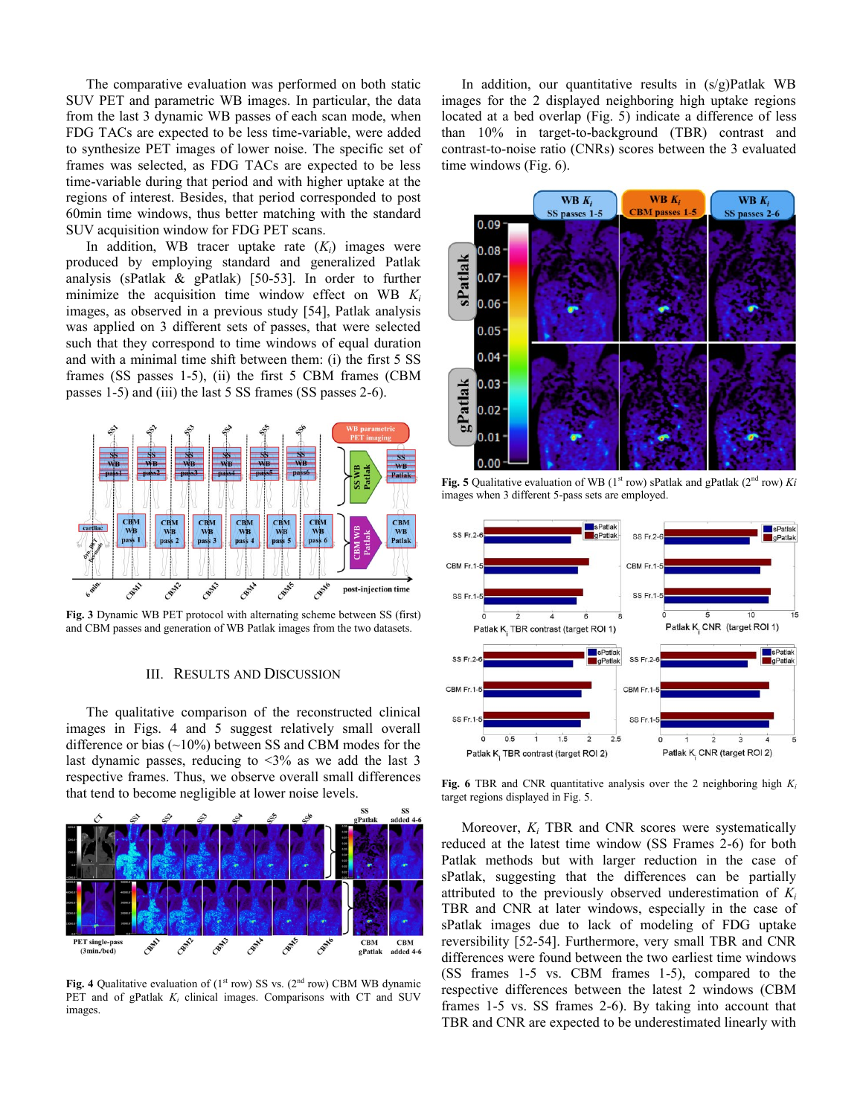The comparative evaluation was performed on both static SUV PET and parametric WB images. In particular, the data from the last 3 dynamic WB passes of each scan mode, when FDG TACs are expected to be less time-variable, were added to synthesize PET images of lower noise. The specific set of frames was selected, as FDG TACs are expected to be less time-variable during that period and with higher uptake at the regions of interest. Besides, that period corresponded to post 60min time windows, thus better matching with the standard SUV acquisition window for FDG PET scans.

In addition, WB tracer uptake rate  $(K_i)$  images were produced by employing standard and generalized Patlak analysis (sPatlak & gPatlak) [50-53]. In order to further minimize the acquisition time window effect on WB  $K_i$ images, as observed in a previous study [54], Patlak analysis was applied on 3 different sets of passes, that were selected such that they correspond to time windows of equal duration and with a minimal time shift between them: (i) the first 5 SS frames (SS passes 1-5), (ii) the first 5 CBM frames (CBM passes 1-5) and (iii) the last 5 SS frames (SS passes 2-6).



**Fig. 3** Dynamic WB PET protocol with alternating scheme between SS (first) and CBM passes and generation of WB Patlak images from the two datasets.

## III. RESULTS AND DISCUSSION

The qualitative comparison of the reconstructed clinical images in Figs. 4 and 5 suggest relatively small overall difference or bias (~10%) between SS and CBM modes for the last dynamic passes, reducing to  $\langle 3\% \rangle$  as we add the last 3 respective frames. Thus, we observe overall small differences that tend to become negligible at lower noise levels.



**Fig. 4** Qualitative evaluation of  $(1<sup>st</sup> row)$  SS vs.  $(2<sup>nd</sup> row)$  CBM WB dynamic PET and of gPatlak  $K_i$  clinical images. Comparisons with CT and SUV images.

In addition, our quantitative results in (s/g)Patlak WB images for the 2 displayed neighboring high uptake regions located at a bed overlap (Fig. 5) indicate a difference of less than 10% in target-to-background (TBR) contrast and contrast-to-noise ratio (CNRs) scores between the 3 evaluated time windows (Fig. 6).



**Fig. 5** Qualitative evaluation of WB ( $1<sup>st</sup>$  row) sPatlak and gPatlak ( $2<sup>nd</sup>$  row) *Ki* images when 3 different 5-pass sets are employed.



**Fig. 6** TBR and CNR quantitative analysis over the 2 neighboring high *Ki* target regions displayed in Fig. 5.

Moreover, *Ki* TBR and CNR scores were systematically reduced at the latest time window (SS Frames 2-6) for both Patlak methods but with larger reduction in the case of sPatlak, suggesting that the differences can be partially attributed to the previously observed underestimation of *Ki* TBR and CNR at later windows, especially in the case of sPatlak images due to lack of modeling of FDG uptake reversibility [52-54]. Furthermore, very small TBR and CNR differences were found between the two earliest time windows (SS frames 1-5 vs. CBM frames 1-5), compared to the respective differences between the latest 2 windows (CBM frames 1-5 vs. SS frames 2-6). By taking into account that TBR and CNR are expected to be underestimated linearly with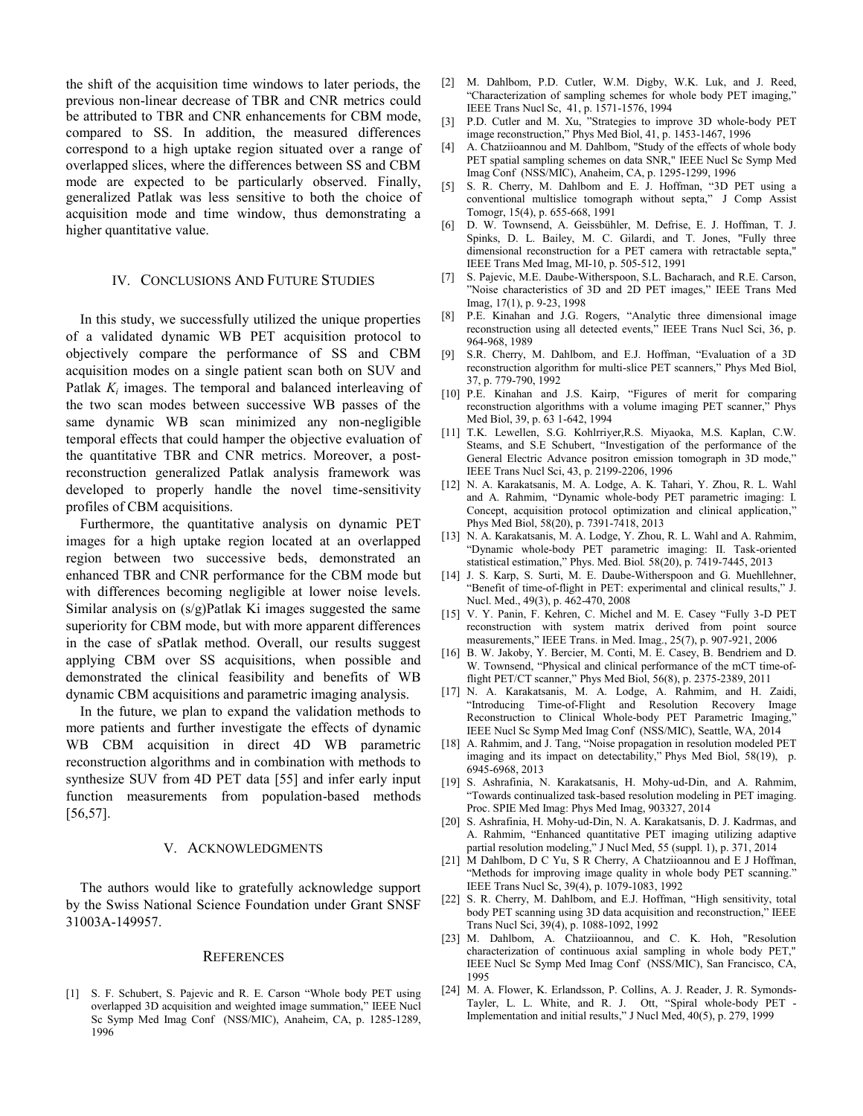the shift of the acquisition time windows to later periods, the previous non-linear decrease of TBR and CNR metrics could be attributed to TBR and CNR enhancements for CBM mode, compared to SS. In addition, the measured differences correspond to a high uptake region situated over a range of overlapped slices, where the differences between SS and CBM mode are expected to be particularly observed. Finally, generalized Patlak was less sensitive to both the choice of acquisition mode and time window, thus demonstrating a higher quantitative value.

## IV. CONCLUSIONS AND FUTURE STUDIES

In this study, we successfully utilized the unique properties of a validated dynamic WB PET acquisition protocol to objectively compare the performance of SS and CBM acquisition modes on a single patient scan both on SUV and Patlak *Ki* images. The temporal and balanced interleaving of the two scan modes between successive WB passes of the same dynamic WB scan minimized any non-negligible temporal effects that could hamper the objective evaluation of the quantitative TBR and CNR metrics. Moreover, a postreconstruction generalized Patlak analysis framework was developed to properly handle the novel time-sensitivity profiles of CBM acquisitions.

Furthermore, the quantitative analysis on dynamic PET images for a high uptake region located at an overlapped region between two successive beds, demonstrated an enhanced TBR and CNR performance for the CBM mode but with differences becoming negligible at lower noise levels. Similar analysis on (s/g)Patlak Ki images suggested the same superiority for CBM mode, but with more apparent differences in the case of sPatlak method. Overall, our results suggest applying CBM over SS acquisitions, when possible and demonstrated the clinical feasibility and benefits of WB dynamic CBM acquisitions and parametric imaging analysis.

In the future, we plan to expand the validation methods to more patients and further investigate the effects of dynamic WB CBM acquisition in direct 4D WB parametric reconstruction algorithms and in combination with methods to synthesize SUV from 4D PET data [55] and infer early input function measurements from population-based methods [56,57].

#### V. ACKNOWLEDGMENTS

The authors would like to gratefully acknowledge support by the Swiss National Science Foundation under Grant SNSF 31003A-149957.

#### **REFERENCES**

[1] S. F. Schubert, S. Pajevic and R. E. Carson "Whole body PET using overlapped 3D acquisition and weighted image summation," IEEE Nucl Sc Symp Med Imag Conf (NSS/MIC), Anaheim, CA, p. 1285-1289, 1996

- [2] M. Dahlbom, P.D. Cutler, W.M. Digby, W.K. Luk, and J. Reed, "Characterization of sampling schemes for whole body PET imaging," IEEE Trans Nucl Sc, 41, p. 1571-1576, 1994
- [3] P.D. Cutler and M. Xu, "Strategies to improve 3D whole-body PET image reconstruction," Phys Med Biol, 41, p. 1453-1467, 1996
- [4] A. Chatziioannou and M. Dahlbom, "Study of the effects of whole body PET spatial sampling schemes on data SNR," IEEE Nucl Sc Symp Med Imag Conf (NSS/MIC), Anaheim, CA, p. 1295-1299, 1996
- [5] S. R. Cherry, M. Dahlbom and E. J. Hoffman, "3D PET using a conventional multislice tomograph without septa," J Comp Assist Tomogr, 15(4), p. 655-668, 1991
- [6] D. W. Townsend, A. Geissbühler, M. Defrise, E. J. Hoffman, T. J. Spinks, D. L. Bailey, M. C. Gilardi, and T. Jones, "Fully three dimensional reconstruction for a PET camera with retractable septa," IEEE Trans Med Imag, MI-10, p. 505-512, 1991
- [7] S. Pajevic, M.E. Daube-Witherspoon, S.L. Bacharach, and R.E. Carson, "Noise characteristics of 3D and 2D PET images," IEEE Trans Med Imag, 17(1), p. 9-23, 1998
- [8] P.E. Kinahan and J.G. Rogers, "Analytic three dimensional image reconstruction using all detected events," IEEE Trans Nucl Sci, 36, p. 964-968, 1989
- [9] S.R. Cherry, M. Dahlbom, and E.J. Hoffman, "Evaluation of a 3D reconstruction algorithm for multi-slice PET scanners," Phys Med Biol, 37, p. 779-790, 1992
- [10] P.E. Kinahan and J.S. Kairp, "Figures of merit for comparing reconstruction algorithms with a volume imaging PET scanner," Phys Med Biol, 39, p. 63 1-642, 1994
- [11] T.K. Lewellen, S.G. Kohlrriyer,R.S. Miyaoka, M.S. Kaplan, C.W. Steams, and S.E Schubert, "Investigation of the performance of the General Electric Advance positron emission tomograph in 3D mode," IEEE Trans Nucl Sci, 43, p. 2199-2206, 1996
- [12] N. A. Karakatsanis, M. A. Lodge, A. K. Tahari, Y. Zhou, R. L. Wahl and A. Rahmim, "Dynamic whole-body PET parametric imaging: I. Concept, acquisition protocol optimization and clinical application," Phys Med Biol, 58(20), p. 7391-7418, 2013
- [13] N. A. Karakatsanis, M. A. Lodge, Y. Zhou, R. L. Wahl and A. Rahmim, "Dynamic whole-body PET parametric imaging: II. Task-oriented statistical estimation," Phys. Med. Biol*.* 58(20), p. 7419-7445, 2013
- [14] J. S. Karp, S. Surti, M. E. Daube-Witherspoon and G. Muehllehner, "Benefit of time-of-flight in PET: experimental and clinical results," J. Nucl. Med., 49(3), p. 462-470, 2008
- [15] V. Y. Panin, F. Kehren, C. Michel and M. E. Casey "Fully 3-D PET reconstruction with system matrix derived from point source measurements," IEEE Trans. in Med. Imag., 25(7), p. 907-921, 2006
- [16] B. W. Jakoby, Y. Bercier, M. Conti, M. E. Casey, B. Bendriem and D. W. Townsend, "Physical and clinical performance of the mCT time-offlight PET/CT scanner," Phys Med Biol, 56(8), p. 2375-2389, 2011
- [17] N. A. Karakatsanis, M. A. Lodge, A. Rahmim, and H. Zaidi, "Introducing Time-of-Flight and Resolution Recovery Image Reconstruction to Clinical Whole-body PET Parametric Imaging," IEEE Nucl Sc Symp Med Imag Conf (NSS/MIC), Seattle, WA, 2014
- [18] A. Rahmim, and J. Tang, "Noise propagation in resolution modeled PET imaging and its impact on detectability," Phys Med Biol, 58(19), p. 6945-6968, 2013
- [19] S. Ashrafinia, N. Karakatsanis, H. Mohy-ud-Din, and A. Rahmim, "Towards continualized task-based resolution modeling in PET imaging. Proc. SPIE Med Imag: Phys Med Imag, 903327, 2014
- [20] S. Ashrafinia, H. Mohy-ud-Din, N. A. Karakatsanis, D. J. Kadrmas, and A. Rahmim, "Enhanced quantitative PET imaging utilizing adaptive partial resolution modeling," J Nucl Med, 55 (suppl. 1), p. 371, 2014
- [21] M Dahlbom, D C Yu, S R Cherry, A Chatziioannou and E J Hoffman, "Methods for improving image quality in whole body PET scanning." IEEE Trans Nucl Sc, 39(4), p. 1079-1083, 1992
- [22] S. R. Cherry, M. Dahlbom, and E.J. Hoffman, "High sensitivity, total body PET scanning using 3D data acquisition and reconstruction," IEEE Trans Nucl Sci, 39(4), p. 1088-1092, 1992
- [23] M. Dahlbom, A. Chatziioannou, and C. K. Hoh, "Resolution characterization of continuous axial sampling in whole body PET," IEEE Nucl Sc Symp Med Imag Conf (NSS/MIC), San Francisco, CA, 1995
- [24] M. A. Flower, K. Erlandsson, P. Collins, A. J. Reader, J. R. Symonds-Tayler, L. L. White, and R. J. Ott, "Spiral whole-body PET - Implementation and initial results," J Nucl Med, 40(5), p. 279, 1999